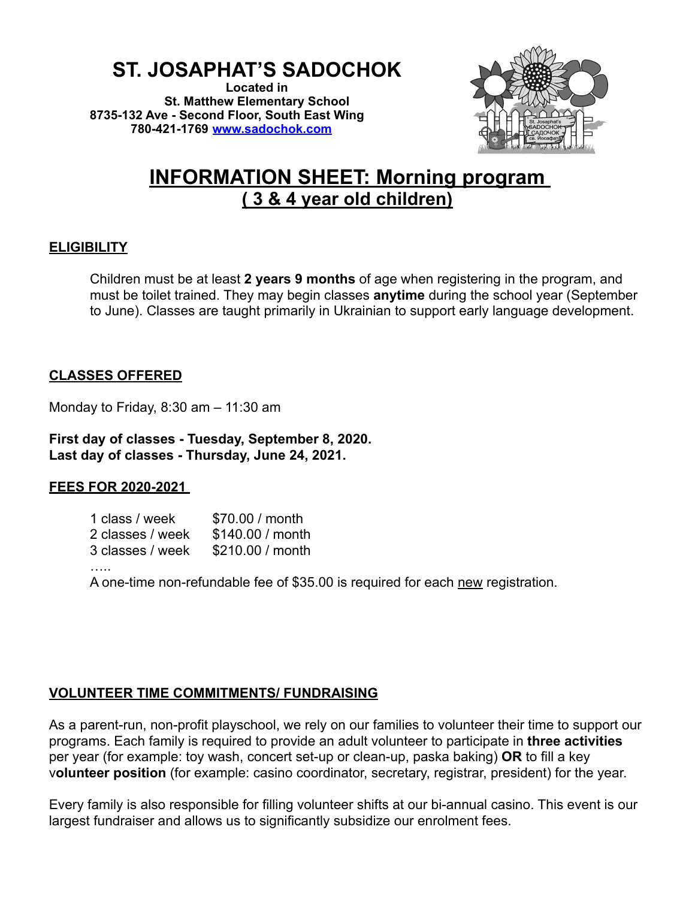# **ST. JOSAPHAT'S SADOCHOK**

**Located in St. Matthew Elementary School 8735-132 Ave - Second Floor, South East Wing 780-421-1769 [www.sadochok.com](http://www.sadochok.com/)**



# **INFORMATION SHEET: Morning program ( 3 & 4 year old children)**

## **ELIGIBILITY**

Children must be at least **2 years 9 months** of age when registering in the program, and must be toilet trained. They may begin classes **anytime** during the school year (September to June). Classes are taught primarily in Ukrainian to support early language development.

# **CLASSES OFFERED**

Monday to Friday, 8:30 am – 11:30 am

**First day of classes - Tuesday, September 8, 2020. Last day of classes - Thursday, June 24, 2021.**

## **FEES FOR 2020-2021**

| 1 class / week   | \$70.00 / month  |
|------------------|------------------|
| 2 classes / week | \$140.00 / month |
| 3 classes / week | \$210,00 / month |

……

A one-time non-refundable fee of \$35.00 is required for each new registration.

## **VOLUNTEER TIME COMMITMENTS/ FUNDRAISING**

As a parent-run, non-profit playschool, we rely on our families to volunteer their time to support our programs. Each family is required to provide an adult volunteer to participate in **three activities** per year (for example: toy wash, concert set-up or clean-up, paska baking) **OR** to fill a key v**olunteer position** (for example: casino coordinator, secretary, registrar, president) for the year.

Every family is also responsible for filling volunteer shifts at our bi-annual casino. This event is our largest fundraiser and allows us to significantly subsidize our enrolment fees.